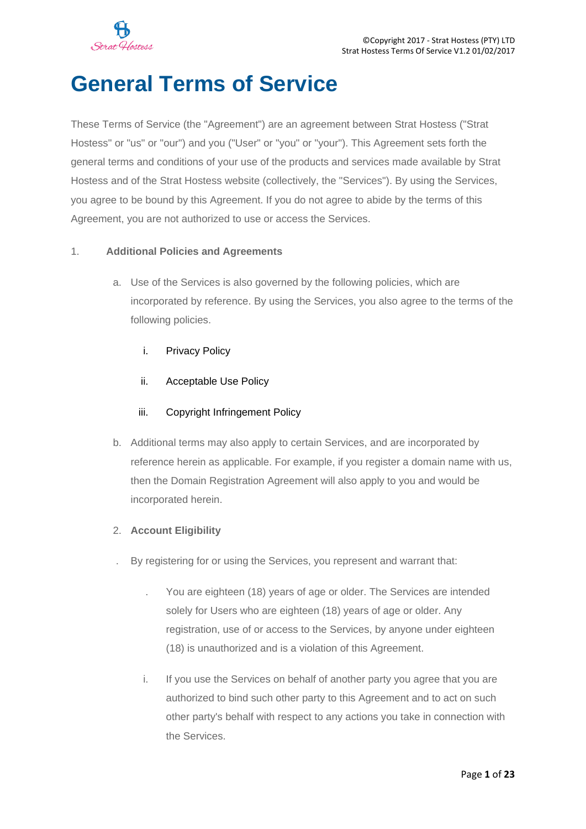

# **General Terms of Service**

These Terms of Service (the "Agreement") are an agreement between Strat Hostess ("Strat Hostess" or "us" or "our") and you ("User" or "you" or "your"). This Agreement sets forth the general terms and conditions of your use of the products and services made available by Strat Hostess and of the Strat Hostess website (collectively, the "Services"). By using the Services, you agree to be bound by this Agreement. If you do not agree to abide by the terms of this Agreement, you are not authorized to use or access the Services.

# 1. **Additional Policies and Agreements**

- a. Use of the Services is also governed by the following policies, which are incorporated by reference. By using the Services, you also agree to the terms of the following policies.
	- i. Privacy Policy
	- ii. Acceptable Use Policy

# iii. Copyright Infringement Policy

- b. Additional terms may also apply to certain Services, and are incorporated by reference herein as applicable. For example, if you register a domain name with us, then the Domain Registration Agreement will also apply to you and would be incorporated herein.
- 2. **Account Eligibility**
- . By registering for or using the Services, you represent and warrant that:
	- . You are eighteen (18) years of age or older. The Services are intended solely for Users who are eighteen (18) years of age or older. Any registration, use of or access to the Services, by anyone under eighteen (18) is unauthorized and is a violation of this Agreement.
	- i. If you use the Services on behalf of another party you agree that you are authorized to bind such other party to this Agreement and to act on such other party's behalf with respect to any actions you take in connection with the Services.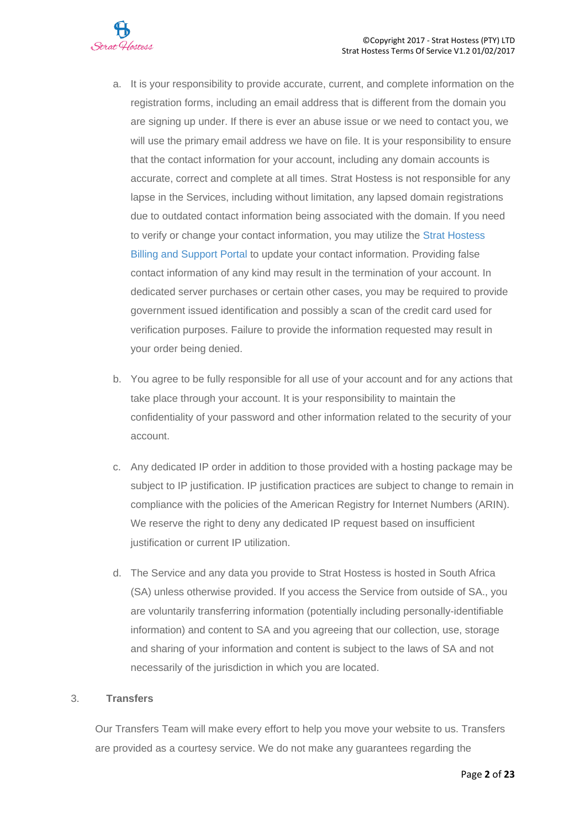

- a. It is your responsibility to provide accurate, current, and complete information on the registration forms, including an email address that is different from the domain you are signing up under. If there is ever an abuse issue or we need to contact you, we will use the primary email address we have on file. It is your responsibility to ensure that the contact information for your account, including any domain accounts is accurate, correct and complete at all times. Strat Hostess is not responsible for any lapse in the Services, including without limitation, any lapsed domain registrations due to outdated contact information being associated with the domain. If you need to verify or change your contact information, you may utilize the [Strat Hostess](http://www.strathostess.co.za/accounts/submitticket.php) [Billing and Support Portal](http://www.strathostess.co.za/accounts/submitticket.php) to update your contact information. Providing false contact information of any kind may result in the termination of your account. In dedicated server purchases or certain other cases, you may be required to provide government issued identification and possibly a scan of the credit card used for verification purposes. Failure to provide the information requested may result in your order being denied.
- b. You agree to be fully responsible for all use of your account and for any actions that take place through your account. It is your responsibility to maintain the confidentiality of your password and other information related to the security of your account.
- c. Any dedicated IP order in addition to those provided with a hosting package may be subject to IP justification. IP justification practices are subject to change to remain in compliance with the policies of the American Registry for Internet Numbers (ARIN). We reserve the right to deny any dedicated IP request based on insufficient justification or current IP utilization.
- d. The Service and any data you provide to Strat Hostess is hosted in South Africa (SA) unless otherwise provided. If you access the Service from outside of SA., you are voluntarily transferring information (potentially including personally-identifiable information) and content to SA and you agreeing that our collection, use, storage and sharing of your information and content is subject to the laws of SA and not necessarily of the jurisdiction in which you are located.

#### 3. **Transfers**

Our Transfers Team will make every effort to help you move your website to us. Transfers are provided as a courtesy service. We do not make any guarantees regarding the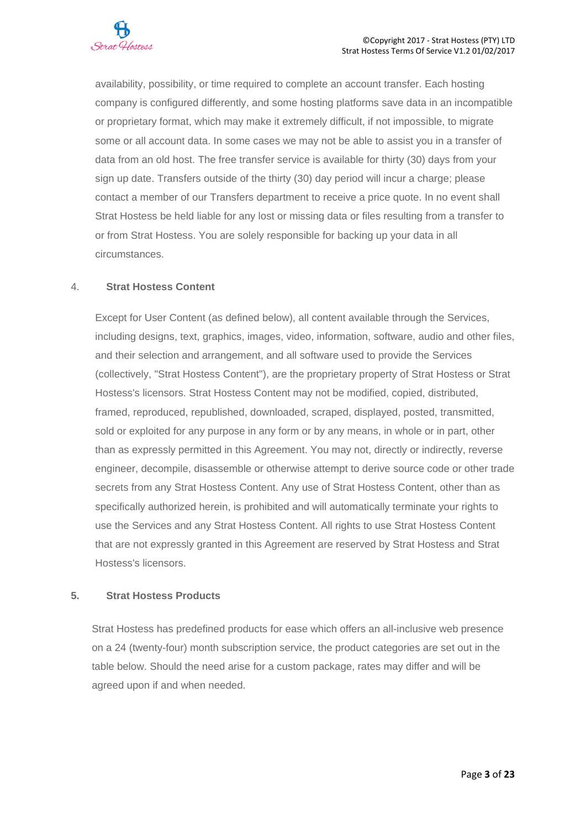availability, possibility, or time required to complete an account transfer. Each hosting company is configured differently, and some hosting platforms save data in an incompatible or proprietary format, which may make it extremely difficult, if not impossible, to migrate some or all account data. In some cases we may not be able to assist you in a transfer of data from an old host. The free transfer service is available for thirty (30) days from your sign up date. Transfers outside of the thirty (30) day period will incur a charge; please contact a member of our Transfers department to receive a price quote. In no event shall Strat Hostess be held liable for any lost or missing data or files resulting from a transfer to or from Strat Hostess. You are solely responsible for backing up your data in all circumstances.

# 4. **Strat Hostess Content**

Except for User Content (as defined below), all content available through the Services, including designs, text, graphics, images, video, information, software, audio and other files, and their selection and arrangement, and all software used to provide the Services (collectively, "Strat Hostess Content"), are the proprietary property of Strat Hostess or Strat Hostess's licensors. Strat Hostess Content may not be modified, copied, distributed, framed, reproduced, republished, downloaded, scraped, displayed, posted, transmitted, sold or exploited for any purpose in any form or by any means, in whole or in part, other than as expressly permitted in this Agreement. You may not, directly or indirectly, reverse engineer, decompile, disassemble or otherwise attempt to derive source code or other trade secrets from any Strat Hostess Content. Any use of Strat Hostess Content, other than as specifically authorized herein, is prohibited and will automatically terminate your rights to use the Services and any Strat Hostess Content. All rights to use Strat Hostess Content that are not expressly granted in this Agreement are reserved by Strat Hostess and Strat Hostess's licensors.

#### **5. Strat Hostess Products**

Strat Hostess has predefined products for ease which offers an all-inclusive web presence on a 24 (twenty-four) month subscription service, the product categories are set out in the table below. Should the need arise for a custom package, rates may differ and will be agreed upon if and when needed.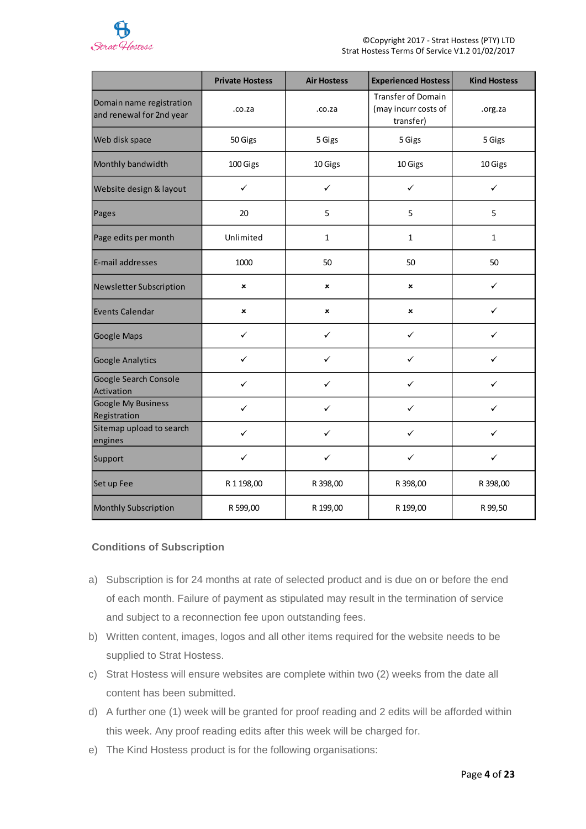

|                                                      | <b>Private Hostess</b> | <b>Air Hostess</b> | <b>Experienced Hostess</b>                              | <b>Kind Hostess</b> |
|------------------------------------------------------|------------------------|--------------------|---------------------------------------------------------|---------------------|
| Domain name registration<br>and renewal for 2nd year | .co.za                 | .co.za             | Transfer of Domain<br>(may incurr costs of<br>transfer) | .org.za             |
| Web disk space                                       | 50 Gigs                | 5 Gigs             | 5 Gigs                                                  | 5 Gigs              |
| Monthly bandwidth                                    | 100 Gigs               | 10 Gigs            | 10 Gigs                                                 | 10 Gigs             |
| Website design & layout                              | $\checkmark$           | ✓                  | ✓                                                       | ✓                   |
| Pages                                                | 20                     | 5                  | 5                                                       | 5                   |
| Page edits per month                                 | Unlimited              | $\mathbf{1}$       | $\mathbf{1}$                                            | $\mathbf{1}$        |
| E-mail addresses                                     | 1000                   | 50                 | 50                                                      | 50                  |
| Newsletter Subscription                              | ×                      | ×                  | ×                                                       | ✓                   |
| <b>Events Calendar</b>                               | ×                      | ×                  | ×                                                       | ✓                   |
| Google Maps                                          | ✓                      | ✓                  | ✓                                                       | ✓                   |
| <b>Google Analytics</b>                              | ✓                      | ✓                  | ✓                                                       | ✓                   |
| Google Search Console<br>Activation                  | ✓                      | ✓                  | ✓                                                       | ✓                   |
| Google My Business<br>Registration                   | ✓                      | ✓                  | ✓                                                       | ✓                   |
| Sitemap upload to search<br>engines                  | ✓                      | ✓                  | ✓                                                       | ✓                   |
| Support                                              | ✓                      | ✓                  | ✓                                                       | $\checkmark$        |
| Set up Fee                                           | R 1 198,00             | R 398,00           | R 398,00                                                | R 398,00            |
| Monthly Subscription                                 | R 599,00               | R 199,00           | R 199,00                                                | R 99,50             |

# **Conditions of Subscription**

- a) Subscription is for 24 months at rate of selected product and is due on or before the end of each month. Failure of payment as stipulated may result in the termination of service and subject to a reconnection fee upon outstanding fees.
- b) Written content, images, logos and all other items required for the website needs to be supplied to Strat Hostess.
- c) Strat Hostess will ensure websites are complete within two (2) weeks from the date all content has been submitted.
- d) A further one (1) week will be granted for proof reading and 2 edits will be afforded within this week. Any proof reading edits after this week will be charged for.
- e) The Kind Hostess product is for the following organisations: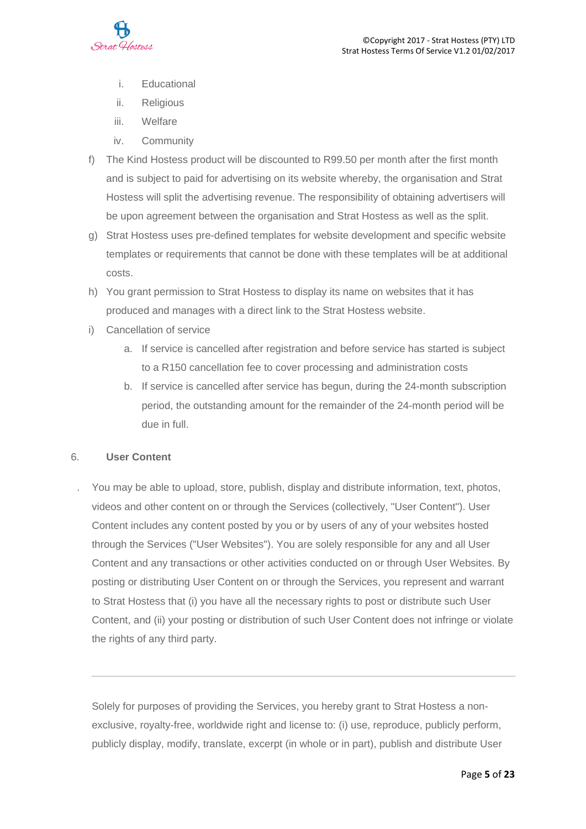

- i. Educational
- ii. Religious
- iii. Welfare
- iv. Community
- f) The Kind Hostess product will be discounted to R99.50 per month after the first month and is subject to paid for advertising on its website whereby, the organisation and Strat Hostess will split the advertising revenue. The responsibility of obtaining advertisers will be upon agreement between the organisation and Strat Hostess as well as the split.
- g) Strat Hostess uses pre-defined templates for website development and specific website templates or requirements that cannot be done with these templates will be at additional costs.
- h) You grant permission to Strat Hostess to display its name on websites that it has produced and manages with a direct link to the Strat Hostess website.
- i) Cancellation of service
	- a. If service is cancelled after registration and before service has started is subject to a R150 cancellation fee to cover processing and administration costs
	- b. If service is cancelled after service has begun, during the 24-month subscription period, the outstanding amount for the remainder of the 24-month period will be due in full.

#### 6. **User Content**

. You may be able to upload, store, publish, display and distribute information, text, photos, videos and other content on or through the Services (collectively, "User Content"). User Content includes any content posted by you or by users of any of your websites hosted through the Services ("User Websites"). You are solely responsible for any and all User Content and any transactions or other activities conducted on or through User Websites. By posting or distributing User Content on or through the Services, you represent and warrant to Strat Hostess that (i) you have all the necessary rights to post or distribute such User Content, and (ii) your posting or distribution of such User Content does not infringe or violate the rights of any third party.

Solely for purposes of providing the Services, you hereby grant to Strat Hostess a nonexclusive, royalty-free, worldwide right and license to: (i) use, reproduce, publicly perform, publicly display, modify, translate, excerpt (in whole or in part), publish and distribute User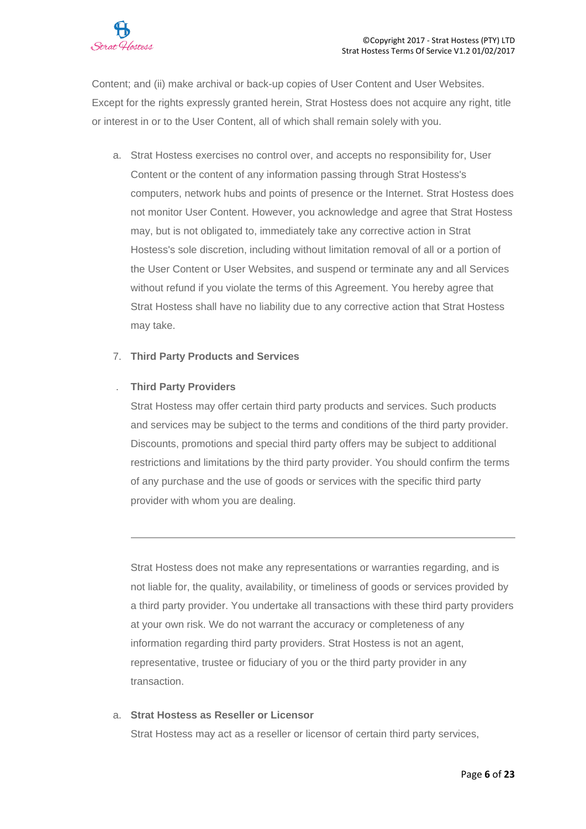

Content; and (ii) make archival or back-up copies of User Content and User Websites. Except for the rights expressly granted herein, Strat Hostess does not acquire any right, title or interest in or to the User Content, all of which shall remain solely with you.

a. Strat Hostess exercises no control over, and accepts no responsibility for, User Content or the content of any information passing through Strat Hostess's computers, network hubs and points of presence or the Internet. Strat Hostess does not monitor User Content. However, you acknowledge and agree that Strat Hostess may, but is not obligated to, immediately take any corrective action in Strat Hostess's sole discretion, including without limitation removal of all or a portion of the User Content or User Websites, and suspend or terminate any and all Services without refund if you violate the terms of this Agreement. You hereby agree that Strat Hostess shall have no liability due to any corrective action that Strat Hostess may take.

## 7. **Third Party Products and Services**

## . **Third Party Providers**

Strat Hostess may offer certain third party products and services. Such products and services may be subject to the terms and conditions of the third party provider. Discounts, promotions and special third party offers may be subject to additional restrictions and limitations by the third party provider. You should confirm the terms of any purchase and the use of goods or services with the specific third party provider with whom you are dealing.

Strat Hostess does not make any representations or warranties regarding, and is not liable for, the quality, availability, or timeliness of goods or services provided by a third party provider. You undertake all transactions with these third party providers at your own risk. We do not warrant the accuracy or completeness of any information regarding third party providers. Strat Hostess is not an agent, representative, trustee or fiduciary of you or the third party provider in any transaction.

#### a. **Strat Hostess as Reseller or Licensor**

Strat Hostess may act as a reseller or licensor of certain third party services,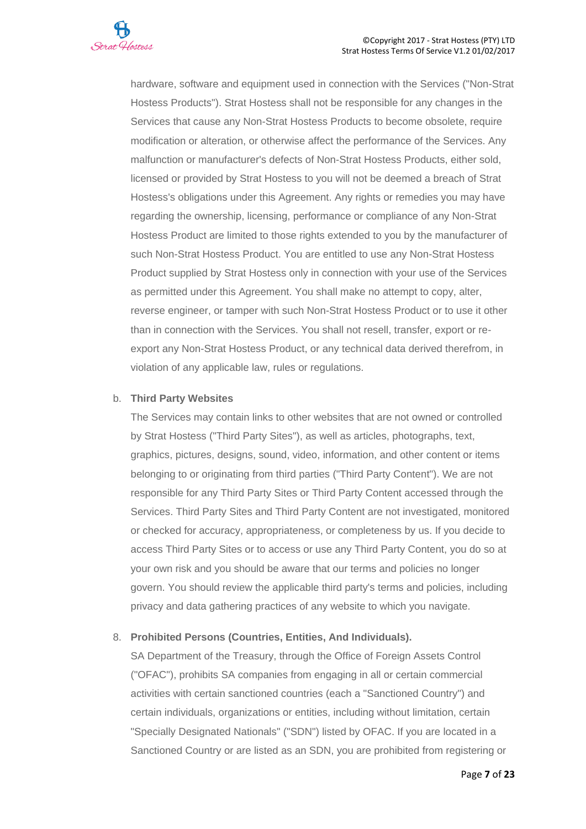

hardware, software and equipment used in connection with the Services ("Non-Strat Hostess Products"). Strat Hostess shall not be responsible for any changes in the Services that cause any Non-Strat Hostess Products to become obsolete, require modification or alteration, or otherwise affect the performance of the Services. Any malfunction or manufacturer's defects of Non-Strat Hostess Products, either sold, licensed or provided by Strat Hostess to you will not be deemed a breach of Strat Hostess's obligations under this Agreement. Any rights or remedies you may have regarding the ownership, licensing, performance or compliance of any Non-Strat Hostess Product are limited to those rights extended to you by the manufacturer of such Non-Strat Hostess Product. You are entitled to use any Non-Strat Hostess Product supplied by Strat Hostess only in connection with your use of the Services as permitted under this Agreement. You shall make no attempt to copy, alter, reverse engineer, or tamper with such Non-Strat Hostess Product or to use it other than in connection with the Services. You shall not resell, transfer, export or reexport any Non-Strat Hostess Product, or any technical data derived therefrom, in violation of any applicable law, rules or regulations.

## b. **Third Party Websites**

The Services may contain links to other websites that are not owned or controlled by Strat Hostess ("Third Party Sites"), as well as articles, photographs, text, graphics, pictures, designs, sound, video, information, and other content or items belonging to or originating from third parties ("Third Party Content"). We are not responsible for any Third Party Sites or Third Party Content accessed through the Services. Third Party Sites and Third Party Content are not investigated, monitored or checked for accuracy, appropriateness, or completeness by us. If you decide to access Third Party Sites or to access or use any Third Party Content, you do so at your own risk and you should be aware that our terms and policies no longer govern. You should review the applicable third party's terms and policies, including privacy and data gathering practices of any website to which you navigate.

# 8. **Prohibited Persons (Countries, Entities, And Individuals).**

SA Department of the Treasury, through the Office of Foreign Assets Control ("OFAC"), prohibits SA companies from engaging in all or certain commercial activities with certain sanctioned countries (each a "Sanctioned Country") and certain individuals, organizations or entities, including without limitation, certain "Specially Designated Nationals" ("SDN") listed by OFAC. If you are located in a Sanctioned Country or are listed as an SDN, you are prohibited from registering or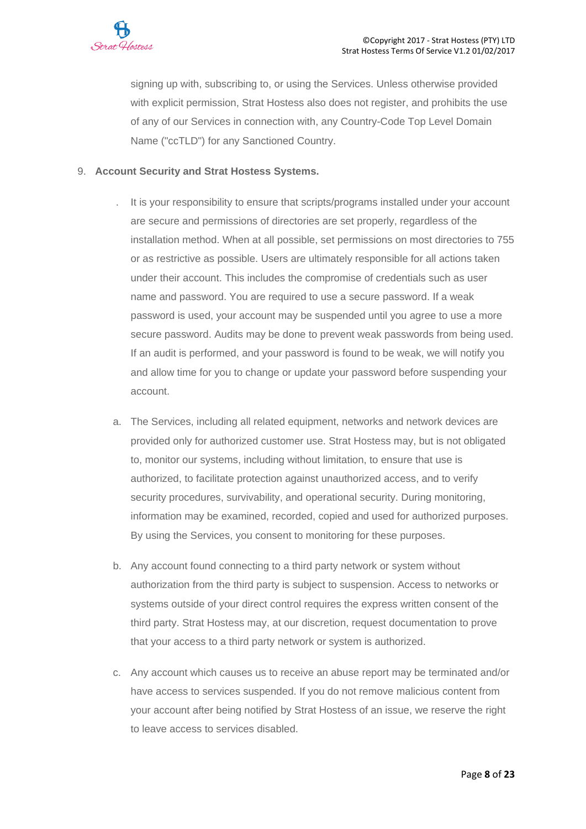

signing up with, subscribing to, or using the Services. Unless otherwise provided with explicit permission, Strat Hostess also does not register, and prohibits the use of any of our Services in connection with, any Country-Code Top Level Domain Name ("ccTLD") for any Sanctioned Country.

## 9. **Account Security and Strat Hostess Systems.**

- . It is your responsibility to ensure that scripts/programs installed under your account are secure and permissions of directories are set properly, regardless of the installation method. When at all possible, set permissions on most directories to 755 or as restrictive as possible. Users are ultimately responsible for all actions taken under their account. This includes the compromise of credentials such as user name and password. You are required to use a secure password. If a weak password is used, your account may be suspended until you agree to use a more secure password. Audits may be done to prevent weak passwords from being used. If an audit is performed, and your password is found to be weak, we will notify you and allow time for you to change or update your password before suspending your account.
- a. The Services, including all related equipment, networks and network devices are provided only for authorized customer use. Strat Hostess may, but is not obligated to, monitor our systems, including without limitation, to ensure that use is authorized, to facilitate protection against unauthorized access, and to verify security procedures, survivability, and operational security. During monitoring, information may be examined, recorded, copied and used for authorized purposes. By using the Services, you consent to monitoring for these purposes.
- b. Any account found connecting to a third party network or system without authorization from the third party is subject to suspension. Access to networks or systems outside of your direct control requires the express written consent of the third party. Strat Hostess may, at our discretion, request documentation to prove that your access to a third party network or system is authorized.
- c. Any account which causes us to receive an abuse report may be terminated and/or have access to services suspended. If you do not remove malicious content from your account after being notified by Strat Hostess of an issue, we reserve the right to leave access to services disabled.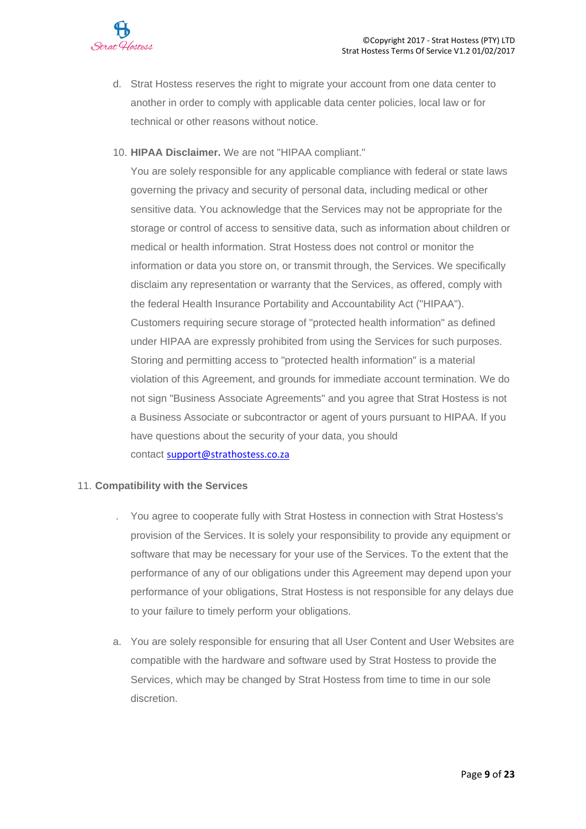- d. Strat Hostess reserves the right to migrate your account from one data center to another in order to comply with applicable data center policies, local law or for technical or other reasons without notice.
- 10. **HIPAA Disclaimer.** We are not "HIPAA compliant."

You are solely responsible for any applicable compliance with federal or state laws governing the privacy and security of personal data, including medical or other sensitive data. You acknowledge that the Services may not be appropriate for the storage or control of access to sensitive data, such as information about children or medical or health information. Strat Hostess does not control or monitor the information or data you store on, or transmit through, the Services. We specifically disclaim any representation or warranty that the Services, as offered, comply with the federal Health Insurance Portability and Accountability Act ("HIPAA"). Customers requiring secure storage of "protected health information" as defined under HIPAA are expressly prohibited from using the Services for such purposes. Storing and permitting access to "protected health information" is a material violation of this Agreement, and grounds for immediate account termination. We do not sign "Business Associate Agreements" and you agree that Strat Hostess is not a Business Associate or subcontractor or agent of yours pursuant to HIPAA. If you have questions about the security of your data, you should contact [support@strathostess.co.za](mailto:support@strathostess.co.za)

# 11. **Compatibility with the Services**

- . You agree to cooperate fully with Strat Hostess in connection with Strat Hostess's provision of the Services. It is solely your responsibility to provide any equipment or software that may be necessary for your use of the Services. To the extent that the performance of any of our obligations under this Agreement may depend upon your performance of your obligations, Strat Hostess is not responsible for any delays due to your failure to timely perform your obligations.
- a. You are solely responsible for ensuring that all User Content and User Websites are compatible with the hardware and software used by Strat Hostess to provide the Services, which may be changed by Strat Hostess from time to time in our sole discretion.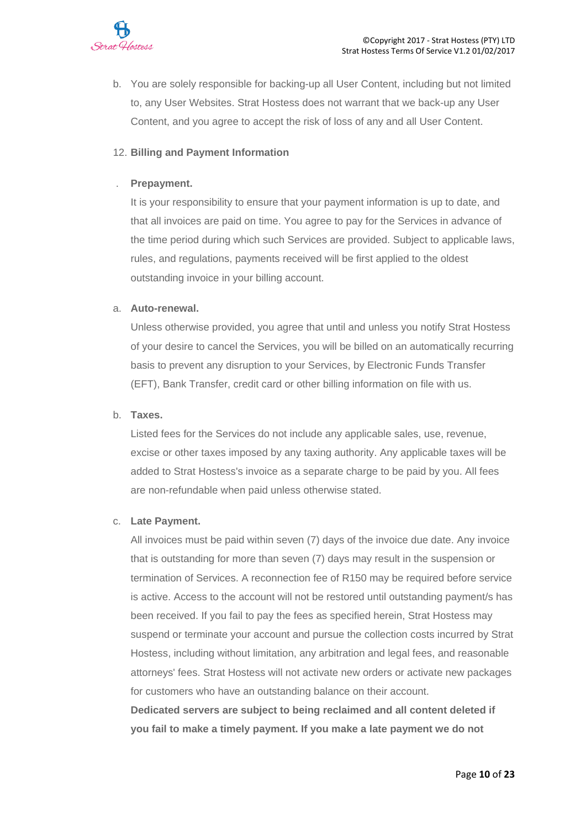

b. You are solely responsible for backing-up all User Content, including but not limited to, any User Websites. Strat Hostess does not warrant that we back-up any User Content, and you agree to accept the risk of loss of any and all User Content.

## 12. **Billing and Payment Information**

## . **Prepayment.**

It is your responsibility to ensure that your payment information is up to date, and that all invoices are paid on time. You agree to pay for the Services in advance of the time period during which such Services are provided. Subject to applicable laws, rules, and regulations, payments received will be first applied to the oldest outstanding invoice in your billing account.

#### a. **Auto-renewal.**

Unless otherwise provided, you agree that until and unless you notify Strat Hostess of your desire to cancel the Services, you will be billed on an automatically recurring basis to prevent any disruption to your Services, by Electronic Funds Transfer (EFT), Bank Transfer, credit card or other billing information on file with us.

#### b. **Taxes.**

Listed fees for the Services do not include any applicable sales, use, revenue, excise or other taxes imposed by any taxing authority. Any applicable taxes will be added to Strat Hostess's invoice as a separate charge to be paid by you. All fees are non-refundable when paid unless otherwise stated.

#### c. **Late Payment.**

All invoices must be paid within seven (7) days of the invoice due date. Any invoice that is outstanding for more than seven (7) days may result in the suspension or termination of Services. A reconnection fee of R150 may be required before service is active. Access to the account will not be restored until outstanding payment/s has been received. If you fail to pay the fees as specified herein, Strat Hostess may suspend or terminate your account and pursue the collection costs incurred by Strat Hostess, including without limitation, any arbitration and legal fees, and reasonable attorneys' fees. Strat Hostess will not activate new orders or activate new packages for customers who have an outstanding balance on their account.

**Dedicated servers are subject to being reclaimed and all content deleted if you fail to make a timely payment. If you make a late payment we do not**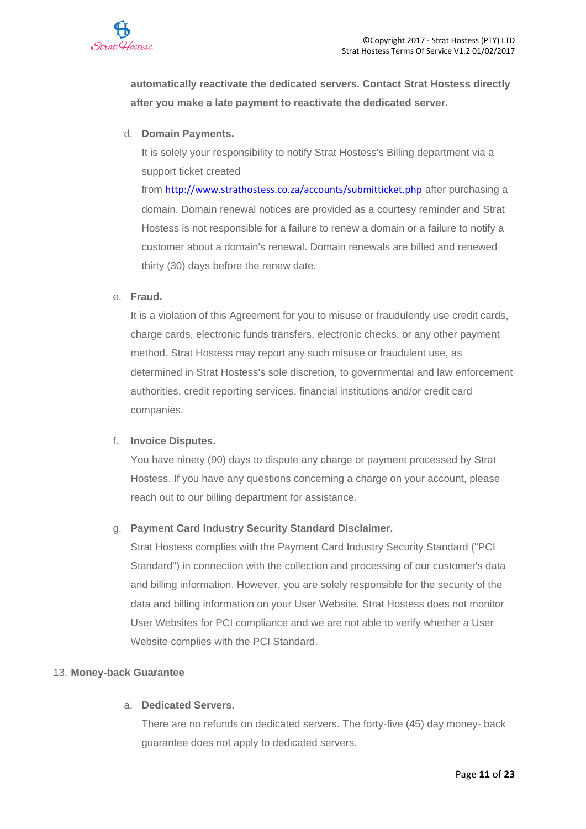

**automatically reactivate the dedicated servers. Contact Strat Hostess directly after you make a late payment to reactivate the dedicated server.**

d. **Domain Payments.**

It is solely your responsibility to notify Strat Hostess's Billing department via a support ticket created

from <http://www.strathostess.co.za/accounts/submitticket.php> after purchasing a domain. Domain renewal notices are provided as a courtesy reminder and Strat Hostess is not responsible for a failure to renew a domain or a failure to notify a customer about a domain's renewal. Domain renewals are billed and renewed thirty (30) days before the renew date.

## e. **Fraud.**

It is a violation of this Agreement for you to misuse or fraudulently use credit cards, charge cards, electronic funds transfers, electronic checks, or any other payment method. Strat Hostess may report any such misuse or fraudulent use, as determined in Strat Hostess's sole discretion, to governmental and law enforcement authorities, credit reporting services, financial institutions and/or credit card companies.

#### f. **Invoice Disputes.**

You have ninety (90) days to dispute any charge or payment processed by Strat Hostess. If you have any questions concerning a charge on your account, please reach out to our billing department for assistance.

# g. **Payment Card Industry Security Standard Disclaimer.**

Strat Hostess complies with the Payment Card Industry Security Standard ("PCI Standard") in connection with the collection and processing of our customer's data and billing information. However, you are solely responsible for the security of the data and billing information on your User Website. Strat Hostess does not monitor User Websites for PCI compliance and we are not able to verify whether a User Website complies with the PCI Standard.

#### 13. **Money-back Guarantee**

#### a. **Dedicated Servers.**

There are no refunds on dedicated servers. The forty-five (45) day money- back guarantee does not apply to dedicated servers.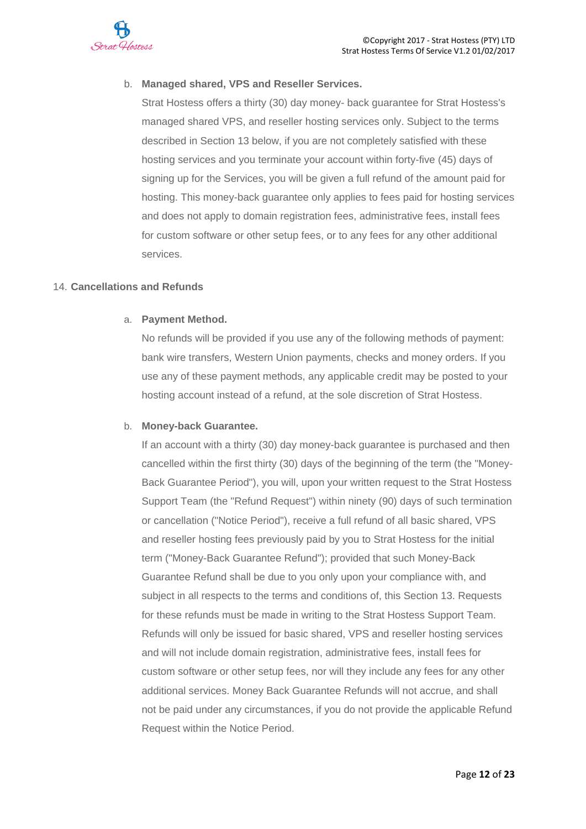

# b. **Managed shared, VPS and Reseller Services.**

Strat Hostess offers a thirty (30) day money- back guarantee for Strat Hostess's managed shared VPS, and reseller hosting services only. Subject to the terms described in Section 13 below, if you are not completely satisfied with these hosting services and you terminate your account within forty-five (45) days of signing up for the Services, you will be given a full refund of the amount paid for hosting. This money-back guarantee only applies to fees paid for hosting services and does not apply to domain registration fees, administrative fees, install fees for custom software or other setup fees, or to any fees for any other additional services.

#### 14. **Cancellations and Refunds**

## a. **Payment Method.**

No refunds will be provided if you use any of the following methods of payment: bank wire transfers, Western Union payments, checks and money orders. If you use any of these payment methods, any applicable credit may be posted to your hosting account instead of a refund, at the sole discretion of Strat Hostess.

#### b. **Money-back Guarantee.**

If an account with a thirty (30) day money-back guarantee is purchased and then cancelled within the first thirty (30) days of the beginning of the term (the "Money-Back Guarantee Period"), you will, upon your written request to the Strat Hostess Support Team (the "Refund Request") within ninety (90) days of such termination or cancellation ("Notice Period"), receive a full refund of all basic shared, VPS and reseller hosting fees previously paid by you to Strat Hostess for the initial term ("Money-Back Guarantee Refund"); provided that such Money-Back Guarantee Refund shall be due to you only upon your compliance with, and subject in all respects to the terms and conditions of, this Section 13. Requests for these refunds must be made in writing to the Strat Hostess Support Team. Refunds will only be issued for basic shared, VPS and reseller hosting services and will not include domain registration, administrative fees, install fees for custom software or other setup fees, nor will they include any fees for any other additional services. Money Back Guarantee Refunds will not accrue, and shall not be paid under any circumstances, if you do not provide the applicable Refund Request within the Notice Period.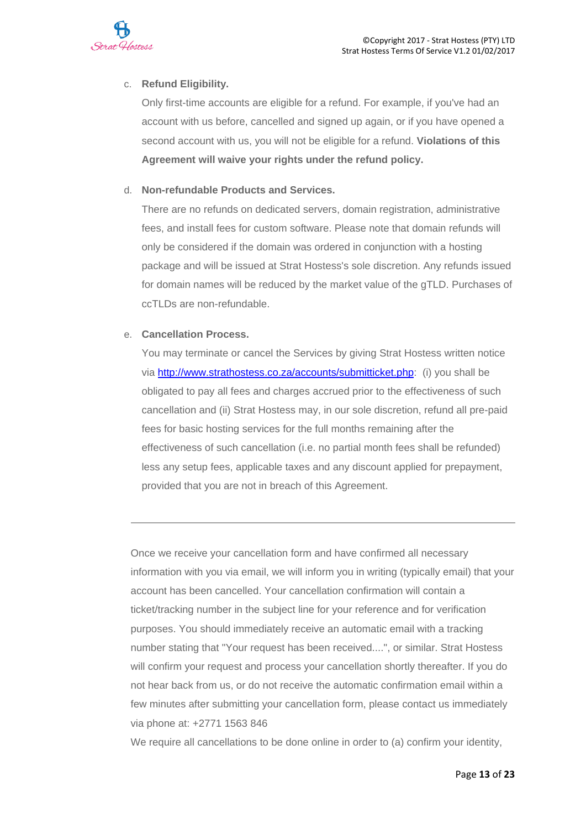

# c. **Refund Eligibility.**

Only first-time accounts are eligible for a refund. For example, if you've had an account with us before, cancelled and signed up again, or if you have opened a second account with us, you will not be eligible for a refund. **Violations of this Agreement will waive your rights under the refund policy.**

# d. **Non-refundable Products and Services.**

There are no refunds on dedicated servers, domain registration, administrative fees, and install fees for custom software. Please note that domain refunds will only be considered if the domain was ordered in conjunction with a hosting package and will be issued at Strat Hostess's sole discretion. Any refunds issued for domain names will be reduced by the market value of the gTLD. Purchases of ccTLDs are non-refundable.

# e. **Cancellation Process.**

You may terminate or cancel the Services by giving Strat Hostess written notice via [http://www.strathostess.co.za/accounts/submitticket.php:](http://www.strathostess.co.za/accounts/submitticket.php) (i) you shall be obligated to pay all fees and charges accrued prior to the effectiveness of such cancellation and (ii) Strat Hostess may, in our sole discretion, refund all pre-paid fees for basic hosting services for the full months remaining after the effectiveness of such cancellation (i.e. no partial month fees shall be refunded) less any setup fees, applicable taxes and any discount applied for prepayment, provided that you are not in breach of this Agreement.

Once we receive your cancellation form and have confirmed all necessary information with you via email, we will inform you in writing (typically email) that your account has been cancelled. Your cancellation confirmation will contain a ticket/tracking number in the subject line for your reference and for verification purposes. You should immediately receive an automatic email with a tracking number stating that "Your request has been received....", or similar. Strat Hostess will confirm your request and process your cancellation shortly thereafter. If you do not hear back from us, or do not receive the automatic confirmation email within a few minutes after submitting your cancellation form, please contact us immediately via phone at: +2771 1563 846

We require all cancellations to be done online in order to (a) confirm your identity,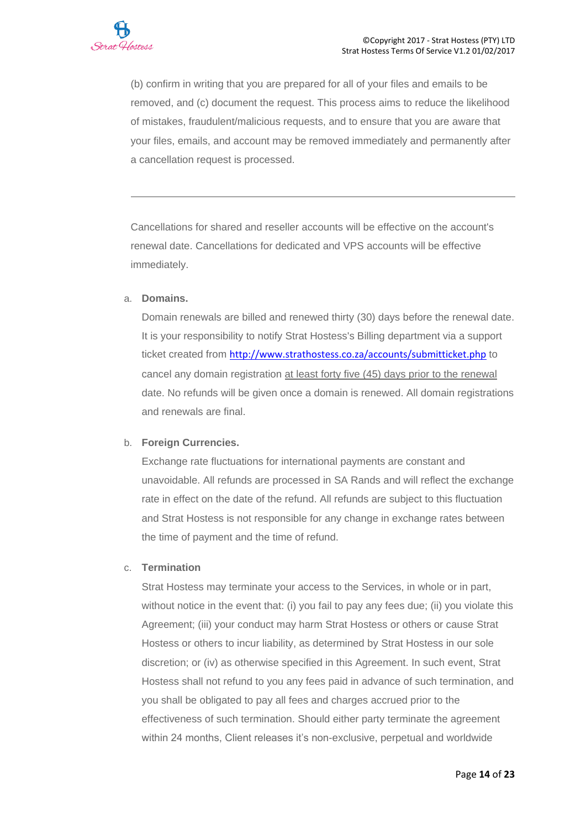

(b) confirm in writing that you are prepared for all of your files and emails to be removed, and (c) document the request. This process aims to reduce the likelihood of mistakes, fraudulent/malicious requests, and to ensure that you are aware that your files, emails, and account may be removed immediately and permanently after a cancellation request is processed.

Cancellations for shared and reseller accounts will be effective on the account's renewal date. Cancellations for dedicated and VPS accounts will be effective immediately.

#### a. **Domains.**

Domain renewals are billed and renewed thirty (30) days before the renewal date. It is your responsibility to notify Strat Hostess's Billing department via a support ticket created from <http://www.strathostess.co.za/accounts/submitticket.php> to cancel any domain registration at least forty five (45) days prior to the renewal date. No refunds will be given once a domain is renewed. All domain registrations and renewals are final.

#### b. **Foreign Currencies.**

Exchange rate fluctuations for international payments are constant and unavoidable. All refunds are processed in SA Rands and will reflect the exchange rate in effect on the date of the refund. All refunds are subject to this fluctuation and Strat Hostess is not responsible for any change in exchange rates between the time of payment and the time of refund.

#### c. **Termination**

Strat Hostess may terminate your access to the Services, in whole or in part, without notice in the event that: (i) you fail to pay any fees due; (ii) you violate this Agreement; (iii) your conduct may harm Strat Hostess or others or cause Strat Hostess or others to incur liability, as determined by Strat Hostess in our sole discretion; or (iv) as otherwise specified in this Agreement. In such event, Strat Hostess shall not refund to you any fees paid in advance of such termination, and you shall be obligated to pay all fees and charges accrued prior to the effectiveness of such termination. Should either party terminate the agreement within 24 months, Client releases it's non-exclusive, perpetual and worldwide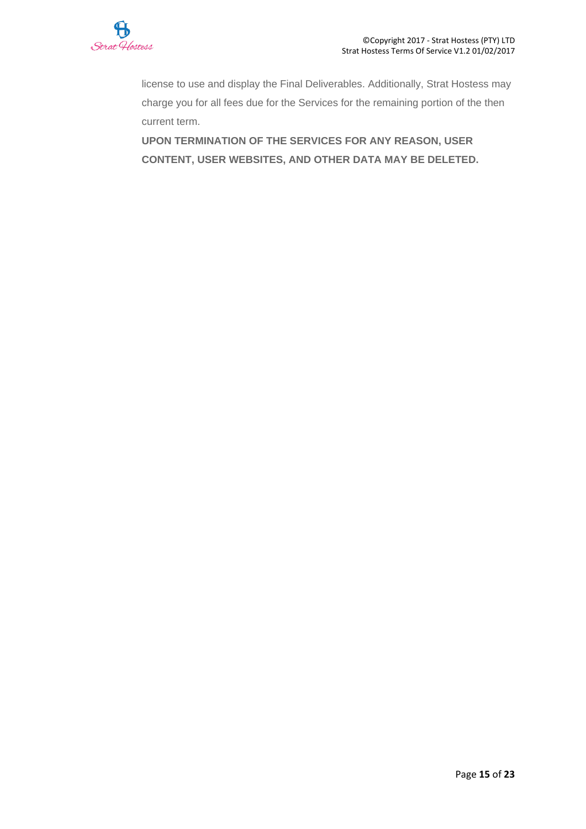

license to use and display the Final Deliverables. Additionally, Strat Hostess may charge you for all fees due for the Services for the remaining portion of the then current term.

**UPON TERMINATION OF THE SERVICES FOR ANY REASON, USER CONTENT, USER WEBSITES, AND OTHER DATA MAY BE DELETED.**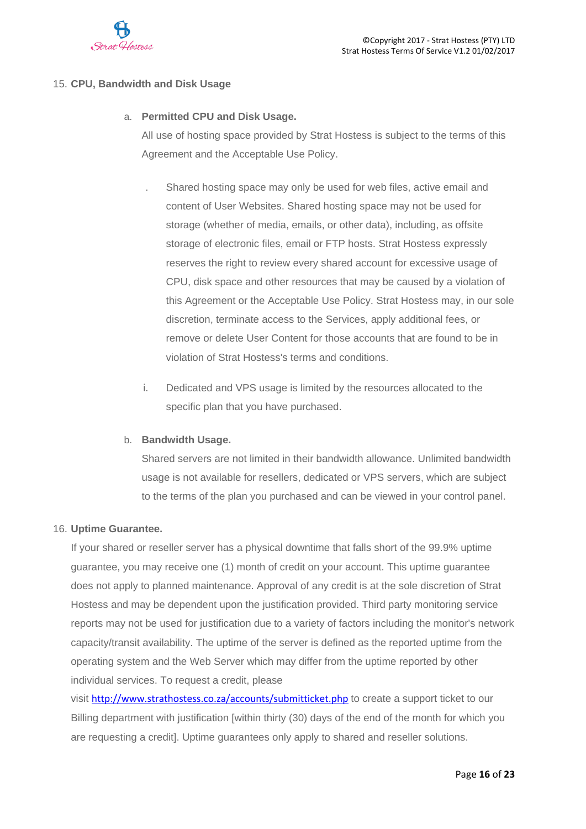

# 15. **CPU, Bandwidth and Disk Usage**

# a. **Permitted CPU and Disk Usage.**

All use of hosting space provided by Strat Hostess is subject to the terms of this Agreement and the Acceptable Use Policy.

- . Shared hosting space may only be used for web files, active email and content of User Websites. Shared hosting space may not be used for storage (whether of media, emails, or other data), including, as offsite storage of electronic files, email or FTP hosts. Strat Hostess expressly reserves the right to review every shared account for excessive usage of CPU, disk space and other resources that may be caused by a violation of this Agreement or the Acceptable Use Policy. Strat Hostess may, in our sole discretion, terminate access to the Services, apply additional fees, or remove or delete User Content for those accounts that are found to be in violation of Strat Hostess's terms and conditions.
- i. Dedicated and VPS usage is limited by the resources allocated to the specific plan that you have purchased.

#### b. **Bandwidth Usage.**

Shared servers are not limited in their bandwidth allowance. Unlimited bandwidth usage is not available for resellers, dedicated or VPS servers, which are subject to the terms of the plan you purchased and can be viewed in your control panel.

#### 16. **Uptime Guarantee.**

If your shared or reseller server has a physical downtime that falls short of the 99.9% uptime guarantee, you may receive one (1) month of credit on your account. This uptime guarantee does not apply to planned maintenance. Approval of any credit is at the sole discretion of Strat Hostess and may be dependent upon the justification provided. Third party monitoring service reports may not be used for justification due to a variety of factors including the monitor's network capacity/transit availability. The uptime of the server is defined as the reported uptime from the operating system and the Web Server which may differ from the uptime reported by other individual services. To request a credit, please

visit <http://www.strathostess.co.za/accounts/submitticket.php> to create a support ticket to our Billing department with justification [within thirty (30) days of the end of the month for which you are requesting a credit]. Uptime guarantees only apply to shared and reseller solutions.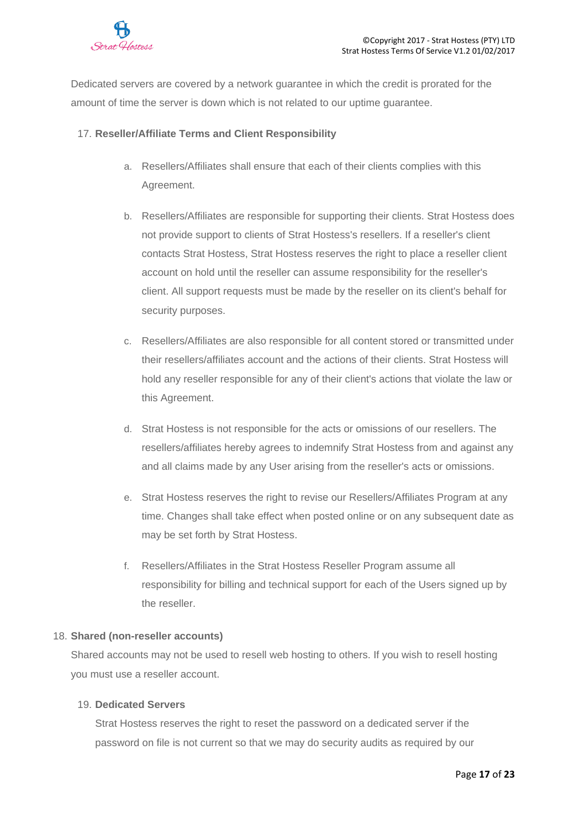

Dedicated servers are covered by a network guarantee in which the credit is prorated for the amount of time the server is down which is not related to our uptime guarantee.

# 17. **Reseller/Affiliate Terms and Client Responsibility**

- a. Resellers/Affiliates shall ensure that each of their clients complies with this Agreement.
- b. Resellers/Affiliates are responsible for supporting their clients. Strat Hostess does not provide support to clients of Strat Hostess's resellers. If a reseller's client contacts Strat Hostess, Strat Hostess reserves the right to place a reseller client account on hold until the reseller can assume responsibility for the reseller's client. All support requests must be made by the reseller on its client's behalf for security purposes.
- c. Resellers/Affiliates are also responsible for all content stored or transmitted under their resellers/affiliates account and the actions of their clients. Strat Hostess will hold any reseller responsible for any of their client's actions that violate the law or this Agreement.
- d. Strat Hostess is not responsible for the acts or omissions of our resellers. The resellers/affiliates hereby agrees to indemnify Strat Hostess from and against any and all claims made by any User arising from the reseller's acts or omissions.
- e. Strat Hostess reserves the right to revise our Resellers/Affiliates Program at any time. Changes shall take effect when posted online or on any subsequent date as may be set forth by Strat Hostess.
- f. Resellers/Affiliates in the Strat Hostess Reseller Program assume all responsibility for billing and technical support for each of the Users signed up by the reseller.

#### 18. **Shared (non-reseller accounts)**

Shared accounts may not be used to resell web hosting to others. If you wish to resell hosting you must use a reseller account.

# 19. **Dedicated Servers**

Strat Hostess reserves the right to reset the password on a dedicated server if the password on file is not current so that we may do security audits as required by our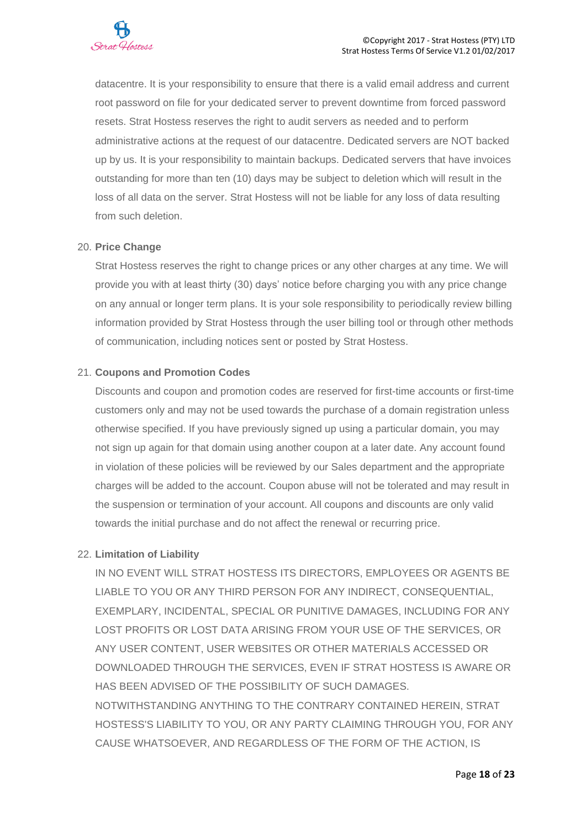

datacentre. It is your responsibility to ensure that there is a valid email address and current root password on file for your dedicated server to prevent downtime from forced password resets. Strat Hostess reserves the right to audit servers as needed and to perform administrative actions at the request of our datacentre. Dedicated servers are NOT backed up by us. It is your responsibility to maintain backups. Dedicated servers that have invoices outstanding for more than ten (10) days may be subject to deletion which will result in the loss of all data on the server. Strat Hostess will not be liable for any loss of data resulting from such deletion

## 20. **Price Change**

Strat Hostess reserves the right to change prices or any other charges at any time. We will provide you with at least thirty (30) days' notice before charging you with any price change on any annual or longer term plans. It is your sole responsibility to periodically review billing information provided by Strat Hostess through the user billing tool or through other methods of communication, including notices sent or posted by Strat Hostess.

## 21. **Coupons and Promotion Codes**

Discounts and coupon and promotion codes are reserved for first-time accounts or first-time customers only and may not be used towards the purchase of a domain registration unless otherwise specified. If you have previously signed up using a particular domain, you may not sign up again for that domain using another coupon at a later date. Any account found in violation of these policies will be reviewed by our Sales department and the appropriate charges will be added to the account. Coupon abuse will not be tolerated and may result in the suspension or termination of your account. All coupons and discounts are only valid towards the initial purchase and do not affect the renewal or recurring price.

# 22. **Limitation of Liability**

IN NO EVENT WILL STRAT HOSTESS ITS DIRECTORS, EMPLOYEES OR AGENTS BE LIABLE TO YOU OR ANY THIRD PERSON FOR ANY INDIRECT, CONSEQUENTIAL, EXEMPLARY, INCIDENTAL, SPECIAL OR PUNITIVE DAMAGES, INCLUDING FOR ANY LOST PROFITS OR LOST DATA ARISING FROM YOUR USE OF THE SERVICES, OR ANY USER CONTENT, USER WEBSITES OR OTHER MATERIALS ACCESSED OR DOWNLOADED THROUGH THE SERVICES, EVEN IF STRAT HOSTESS IS AWARE OR HAS BEEN ADVISED OF THE POSSIBILITY OF SUCH DAMAGES. NOTWITHSTANDING ANYTHING TO THE CONTRARY CONTAINED HEREIN, STRAT HOSTESS'S LIABILITY TO YOU, OR ANY PARTY CLAIMING THROUGH YOU, FOR ANY CAUSE WHATSOEVER, AND REGARDLESS OF THE FORM OF THE ACTION, IS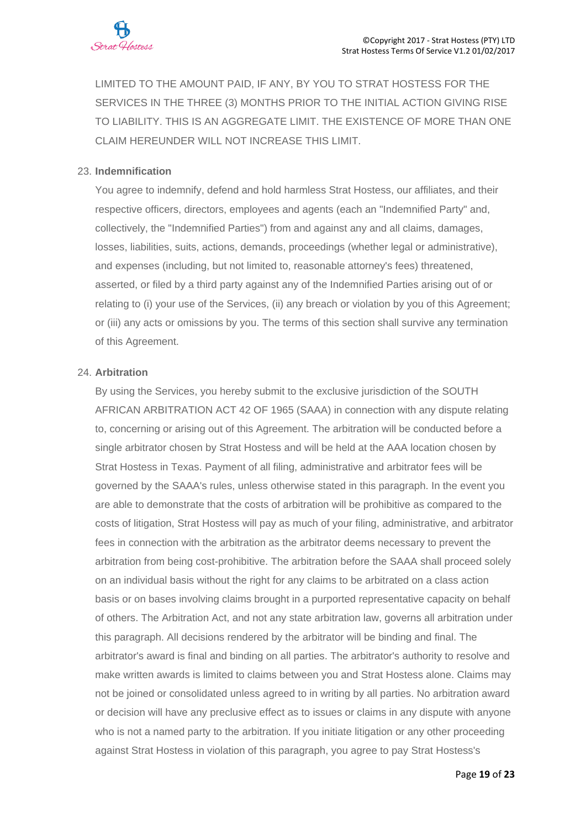

LIMITED TO THE AMOUNT PAID, IF ANY, BY YOU TO STRAT HOSTESS FOR THE SERVICES IN THE THREE (3) MONTHS PRIOR TO THE INITIAL ACTION GIVING RISE TO LIABILITY. THIS IS AN AGGREGATE LIMIT. THE EXISTENCE OF MORE THAN ONE CLAIM HEREUNDER WILL NOT INCREASE THIS LIMIT.

## 23. **Indemnification**

You agree to indemnify, defend and hold harmless Strat Hostess, our affiliates, and their respective officers, directors, employees and agents (each an "Indemnified Party" and, collectively, the "Indemnified Parties") from and against any and all claims, damages, losses, liabilities, suits, actions, demands, proceedings (whether legal or administrative), and expenses (including, but not limited to, reasonable attorney's fees) threatened, asserted, or filed by a third party against any of the Indemnified Parties arising out of or relating to (i) your use of the Services, (ii) any breach or violation by you of this Agreement; or (iii) any acts or omissions by you. The terms of this section shall survive any termination of this Agreement.

## 24. **Arbitration**

By using the Services, you hereby submit to the exclusive jurisdiction of the SOUTH AFRICAN ARBITRATION ACT 42 OF 1965 (SAAA) in connection with any dispute relating to, concerning or arising out of this Agreement. The arbitration will be conducted before a single arbitrator chosen by Strat Hostess and will be held at the AAA location chosen by Strat Hostess in Texas. Payment of all filing, administrative and arbitrator fees will be governed by the SAAA's rules, unless otherwise stated in this paragraph. In the event you are able to demonstrate that the costs of arbitration will be prohibitive as compared to the costs of litigation, Strat Hostess will pay as much of your filing, administrative, and arbitrator fees in connection with the arbitration as the arbitrator deems necessary to prevent the arbitration from being cost-prohibitive. The arbitration before the SAAA shall proceed solely on an individual basis without the right for any claims to be arbitrated on a class action basis or on bases involving claims brought in a purported representative capacity on behalf of others. The Arbitration Act, and not any state arbitration law, governs all arbitration under this paragraph. All decisions rendered by the arbitrator will be binding and final. The arbitrator's award is final and binding on all parties. The arbitrator's authority to resolve and make written awards is limited to claims between you and Strat Hostess alone. Claims may not be joined or consolidated unless agreed to in writing by all parties. No arbitration award or decision will have any preclusive effect as to issues or claims in any dispute with anyone who is not a named party to the arbitration. If you initiate litigation or any other proceeding against Strat Hostess in violation of this paragraph, you agree to pay Strat Hostess's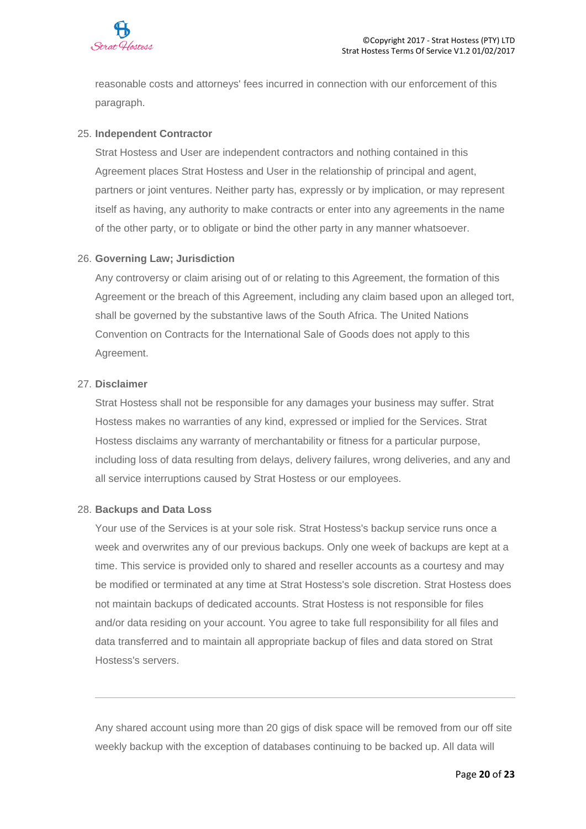

reasonable costs and attorneys' fees incurred in connection with our enforcement of this paragraph.

## 25. **Independent Contractor**

Strat Hostess and User are independent contractors and nothing contained in this Agreement places Strat Hostess and User in the relationship of principal and agent, partners or joint ventures. Neither party has, expressly or by implication, or may represent itself as having, any authority to make contracts or enter into any agreements in the name of the other party, or to obligate or bind the other party in any manner whatsoever.

#### 26. **Governing Law; Jurisdiction**

Any controversy or claim arising out of or relating to this Agreement, the formation of this Agreement or the breach of this Agreement, including any claim based upon an alleged tort, shall be governed by the substantive laws of the South Africa. The United Nations Convention on Contracts for the International Sale of Goods does not apply to this Agreement.

## 27. **Disclaimer**

Strat Hostess shall not be responsible for any damages your business may suffer. Strat Hostess makes no warranties of any kind, expressed or implied for the Services. Strat Hostess disclaims any warranty of merchantability or fitness for a particular purpose, including loss of data resulting from delays, delivery failures, wrong deliveries, and any and all service interruptions caused by Strat Hostess or our employees.

#### 28. **Backups and Data Loss**

Your use of the Services is at your sole risk. Strat Hostess's backup service runs once a week and overwrites any of our previous backups. Only one week of backups are kept at a time. This service is provided only to shared and reseller accounts as a courtesy and may be modified or terminated at any time at Strat Hostess's sole discretion. Strat Hostess does not maintain backups of dedicated accounts. Strat Hostess is not responsible for files and/or data residing on your account. You agree to take full responsibility for all files and data transferred and to maintain all appropriate backup of files and data stored on Strat Hostess's servers.

Any shared account using more than 20 gigs of disk space will be removed from our off site weekly backup with the exception of databases continuing to be backed up. All data will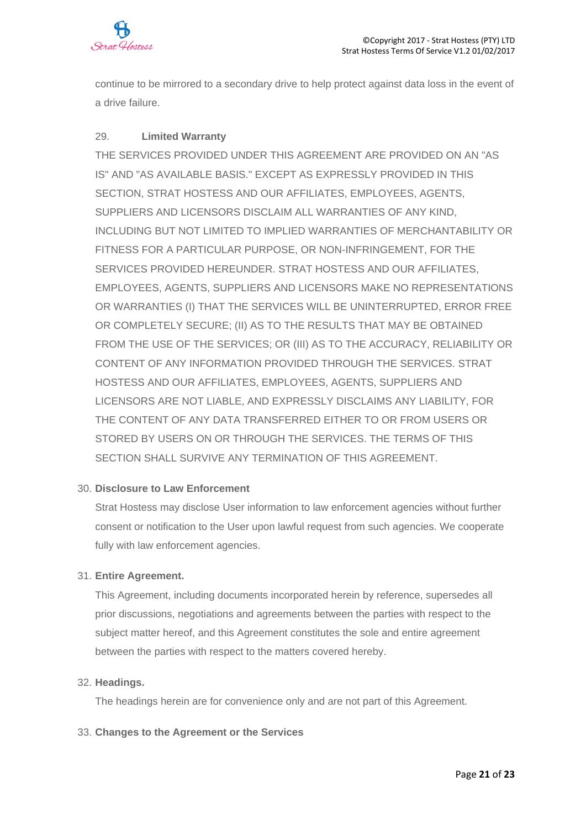

continue to be mirrored to a secondary drive to help protect against data loss in the event of a drive failure.

# 29. **Limited Warranty**

THE SERVICES PROVIDED UNDER THIS AGREEMENT ARE PROVIDED ON AN "AS IS" AND "AS AVAILABLE BASIS." EXCEPT AS EXPRESSLY PROVIDED IN THIS SECTION, STRAT HOSTESS AND OUR AFFILIATES, EMPLOYEES, AGENTS, SUPPLIERS AND LICENSORS DISCLAIM ALL WARRANTIES OF ANY KIND, INCLUDING BUT NOT LIMITED TO IMPLIED WARRANTIES OF MERCHANTABILITY OR FITNESS FOR A PARTICULAR PURPOSE, OR NON-INFRINGEMENT, FOR THE SERVICES PROVIDED HEREUNDER. STRAT HOSTESS AND OUR AFFILIATES, EMPLOYEES, AGENTS, SUPPLIERS AND LICENSORS MAKE NO REPRESENTATIONS OR WARRANTIES (I) THAT THE SERVICES WILL BE UNINTERRUPTED, ERROR FREE OR COMPLETELY SECURE; (II) AS TO THE RESULTS THAT MAY BE OBTAINED FROM THE USE OF THE SERVICES; OR (III) AS TO THE ACCURACY, RELIABILITY OR CONTENT OF ANY INFORMATION PROVIDED THROUGH THE SERVICES. STRAT HOSTESS AND OUR AFFILIATES, EMPLOYEES, AGENTS, SUPPLIERS AND LICENSORS ARE NOT LIABLE, AND EXPRESSLY DISCLAIMS ANY LIABILITY, FOR THE CONTENT OF ANY DATA TRANSFERRED EITHER TO OR FROM USERS OR STORED BY USERS ON OR THROUGH THE SERVICES. THE TERMS OF THIS SECTION SHALL SURVIVE ANY TERMINATION OF THIS AGREEMENT.

# 30. **Disclosure to Law Enforcement**

Strat Hostess may disclose User information to law enforcement agencies without further consent or notification to the User upon lawful request from such agencies. We cooperate fully with law enforcement agencies.

#### 31. **Entire Agreement.**

This Agreement, including documents incorporated herein by reference, supersedes all prior discussions, negotiations and agreements between the parties with respect to the subject matter hereof, and this Agreement constitutes the sole and entire agreement between the parties with respect to the matters covered hereby.

#### 32. **Headings.**

The headings herein are for convenience only and are not part of this Agreement.

#### 33. **Changes to the Agreement or the Services**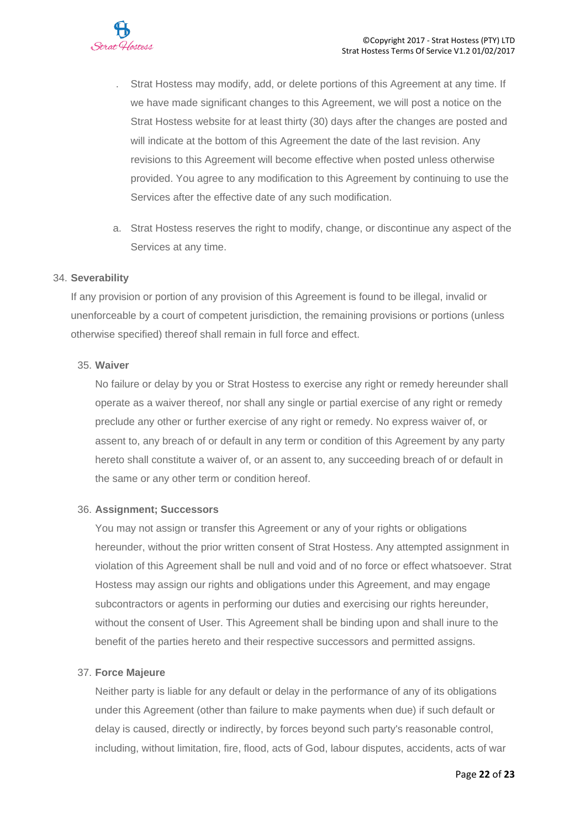- . Strat Hostess may modify, add, or delete portions of this Agreement at any time. If we have made significant changes to this Agreement, we will post a notice on the Strat Hostess website for at least thirty (30) days after the changes are posted and will indicate at the bottom of this Agreement the date of the last revision. Any revisions to this Agreement will become effective when posted unless otherwise provided. You agree to any modification to this Agreement by continuing to use the Services after the effective date of any such modification.
- a. Strat Hostess reserves the right to modify, change, or discontinue any aspect of the Services at any time.

## 34. **Severability**

If any provision or portion of any provision of this Agreement is found to be illegal, invalid or unenforceable by a court of competent jurisdiction, the remaining provisions or portions (unless otherwise specified) thereof shall remain in full force and effect.

## 35. **Waiver**

No failure or delay by you or Strat Hostess to exercise any right or remedy hereunder shall operate as a waiver thereof, nor shall any single or partial exercise of any right or remedy preclude any other or further exercise of any right or remedy. No express waiver of, or assent to, any breach of or default in any term or condition of this Agreement by any party hereto shall constitute a waiver of, or an assent to, any succeeding breach of or default in the same or any other term or condition hereof.

#### 36. **Assignment; Successors**

You may not assign or transfer this Agreement or any of your rights or obligations hereunder, without the prior written consent of Strat Hostess. Any attempted assignment in violation of this Agreement shall be null and void and of no force or effect whatsoever. Strat Hostess may assign our rights and obligations under this Agreement, and may engage subcontractors or agents in performing our duties and exercising our rights hereunder, without the consent of User. This Agreement shall be binding upon and shall inure to the benefit of the parties hereto and their respective successors and permitted assigns.

# 37. **Force Majeure**

Neither party is liable for any default or delay in the performance of any of its obligations under this Agreement (other than failure to make payments when due) if such default or delay is caused, directly or indirectly, by forces beyond such party's reasonable control, including, without limitation, fire, flood, acts of God, labour disputes, accidents, acts of war